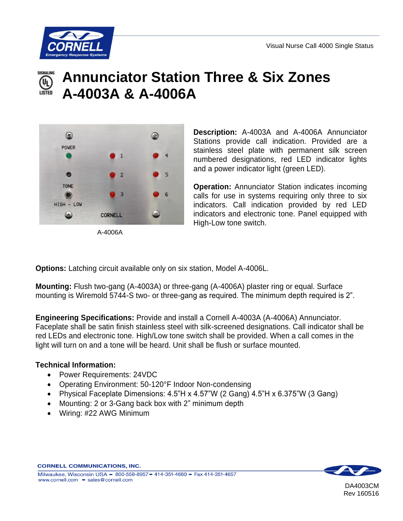

## **Annunciator Station Three & Six Zones** (U<sub>L)</sub> **A-4003A & A-4006A**



A-4006A

**Description:** A-4003A and A-4006A Annunciator Stations provide call indication. Provided are a stainless steel plate with permanent silk screen numbered designations, red LED indicator lights and a power indicator light (green LED).

**Operation:** Annunciator Station indicates incoming calls for use in systems requiring only three to six indicators. Call indication provided by red LED indicators and electronic tone. Panel equipped with High-Low tone switch.

**Options:** Latching circuit available only on six station, Model A-4006L.

**Mounting:** Flush two-gang (A-4003A) or three-gang (A-4006A) plaster ring or equal. Surface mounting is Wiremold 5744-S two- or three-gang as required. The minimum depth required is 2".

**Engineering Specifications:** Provide and install a Cornell A-4003A (A-4006A) Annunciator. Faceplate shall be satin finish stainless steel with silk-screened designations. Call indicator shall be red LEDs and electronic tone. High/Low tone switch shall be provided. When a call comes in the light will turn on and a tone will be heard. Unit shall be flush or surface mounted.

## **Technical Information:**

- Power Requirements: 24VDC
- Operating Environment: 50-120°F Indoor Non-condensing
- Physical Faceplate Dimensions: 4.5"H x 4.57"W (2 Gang) 4.5"H x 6.375"W (3 Gang)
- Mounting: 2 or 3-Gang back box with 2" minimum depth
- Wiring: #22 AWG Minimum



DA4003CM Rev 160516